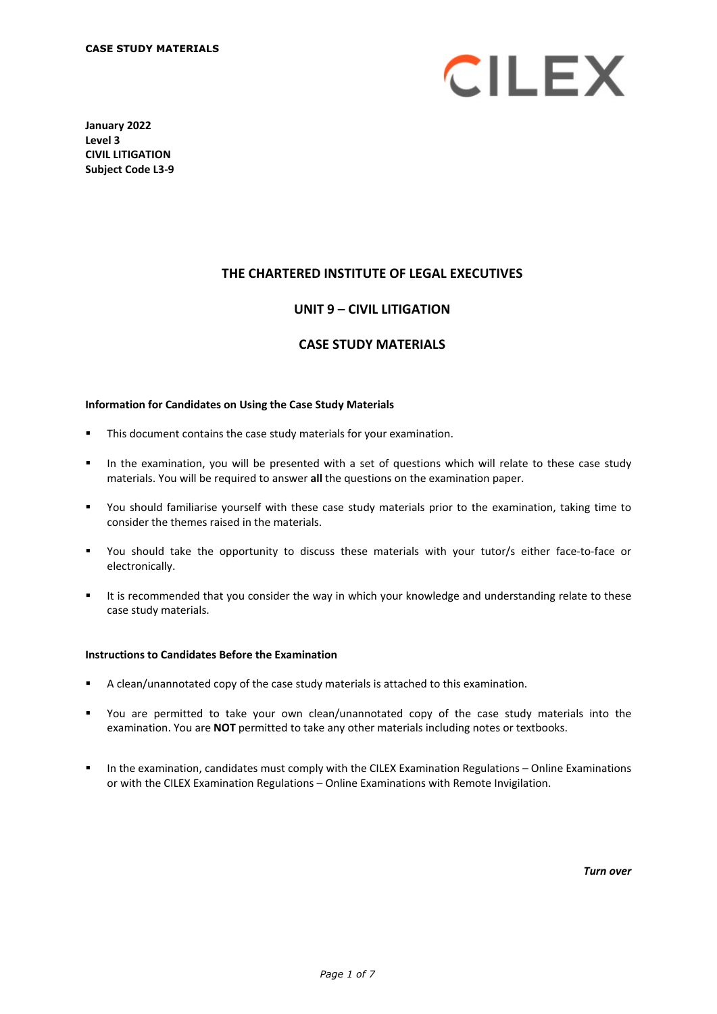

**January 2022 Level 3 CIVIL LITIGATION Subject Code L3-9** 

## **THE CHARTERED INSTITUTE OF LEGAL EXECUTIVES**

## **UNIT 9 – CIVIL LITIGATION**

#### **CASE STUDY MATERIALS**

#### **Information for Candidates on Using the Case Study Materials**

- This document contains the case study materials for your examination.
- In the examination, you will be presented with a set of questions which will relate to these case study materials. You will be required to answer **all** the questions on the examination paper.
- You should familiarise yourself with these case study materials prior to the examination, taking time to consider the themes raised in the materials.
- You should take the opportunity to discuss these materials with your tutor/s either face-to-face or electronically.
- It is recommended that you consider the way in which your knowledge and understanding relate to these case study materials.

#### **Instructions to Candidates Before the Examination**

- A clean/unannotated copy of the case study materials is attached to this examination.
- You are permitted to take your own clean/unannotated copy of the case study materials into the examination. You are **NOT** permitted to take any other materials including notes or textbooks.
- In the examination, candidates must comply with the CILEX Examination Regulations Online Examinations or with the CILEX Examination Regulations – Online Examinations with Remote Invigilation.

*Turn over*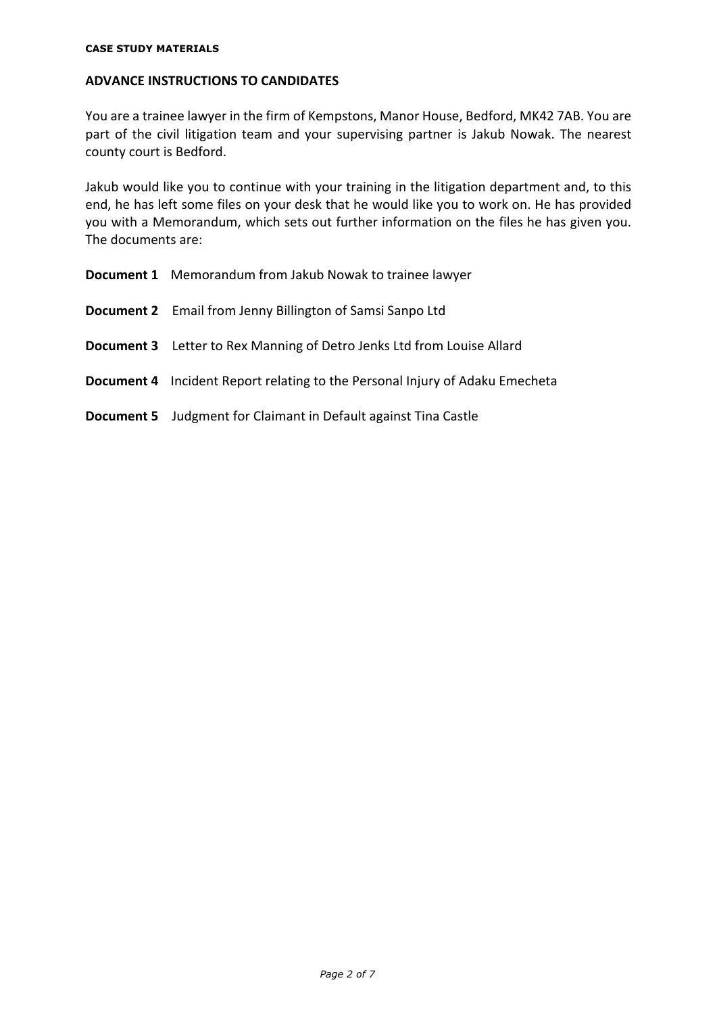#### **CASE STUDY MATERIALS**

## **ADVANCE INSTRUCTIONS TO CANDIDATES**

You are a trainee lawyer in the firm of Kempstons, Manor House, Bedford, MK42 7AB. You are part of the civil litigation team and your supervising partner is Jakub Nowak. The nearest county court is Bedford.

Jakub would like you to continue with your training in the litigation department and, to this end, he has left some files on your desk that he would like you to work on. He has provided you with a Memorandum, which sets out further information on the files he has given you. The documents are:

|                   | <b>Document 1</b> Memorandum from Jakub Nowak to trainee lawyer                     |
|-------------------|-------------------------------------------------------------------------------------|
|                   | <b>Document 2</b> Email from Jenny Billington of Samsi Sanpo Ltd                    |
|                   | <b>Document 3</b> Letter to Rex Manning of Detro Jenks Ltd from Louise Allard       |
|                   | <b>Document 4</b> Incident Report relating to the Personal Injury of Adaku Emecheta |
| <b>Document 5</b> | Judgment for Claimant in Default against Tina Castle                                |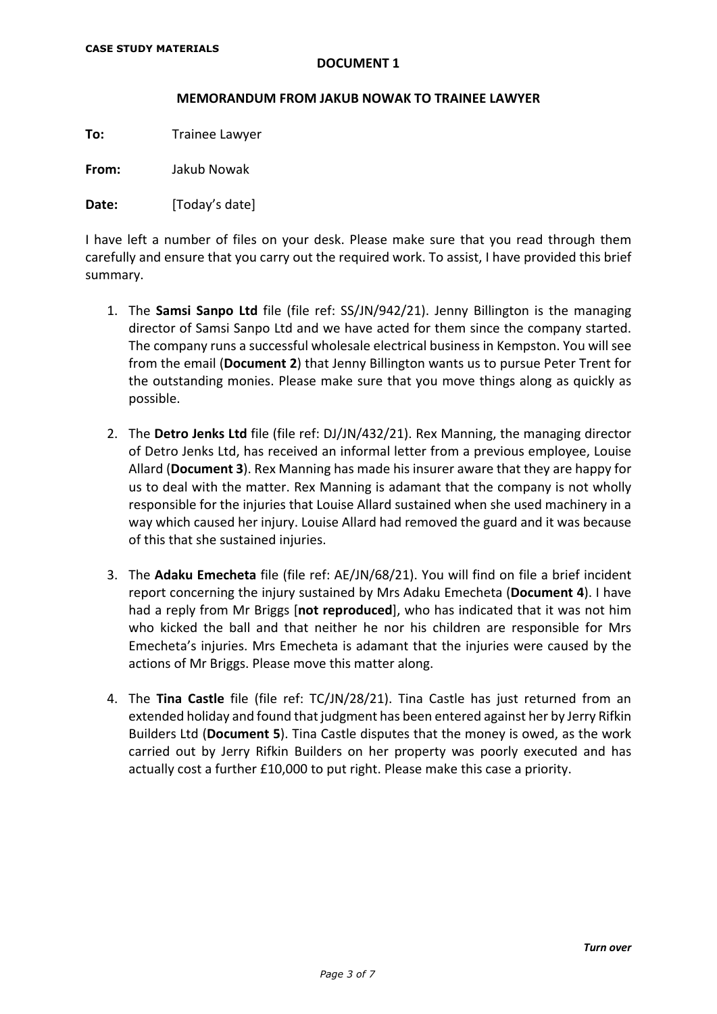#### **MEMORANDUM FROM JAKUB NOWAK TO TRAINEE LAWYER**

**To:** Trainee Lawyer

**From:** Jakub Nowak

**Date:** [Today's date]

I have left a number of files on your desk. Please make sure that you read through them carefully and ensure that you carry out the required work. To assist, I have provided this brief summary.

- 1. The **Samsi Sanpo Ltd** file (file ref: SS/JN/942/21). Jenny Billington is the managing director of Samsi Sanpo Ltd and we have acted for them since the company started. The company runs a successful wholesale electrical business in Kempston. You will see from the email (**Document 2**) that Jenny Billington wants us to pursue Peter Trent for the outstanding monies. Please make sure that you move things along as quickly as possible.
- 2. The **Detro Jenks Ltd** file (file ref: DJ/JN/432/21). Rex Manning, the managing director of Detro Jenks Ltd, has received an informal letter from a previous employee, Louise Allard (**Document 3**). Rex Manning has made his insurer aware that they are happy for us to deal with the matter. Rex Manning is adamant that the company is not wholly responsible for the injuries that Louise Allard sustained when she used machinery in a way which caused her injury. Louise Allard had removed the guard and it was because of this that she sustained injuries.
- 3. The **Adaku Emecheta** file (file ref: AE/JN/68/21). You will find on file a brief incident report concerning the injury sustained by Mrs Adaku Emecheta (**Document 4**). I have had a reply from Mr Briggs [**not reproduced**], who has indicated that it was not him who kicked the ball and that neither he nor his children are responsible for Mrs Emecheta's injuries. Mrs Emecheta is adamant that the injuries were caused by the actions of Mr Briggs. Please move this matter along.
- 4. The **Tina Castle** file (file ref: TC/JN/28/21). Tina Castle has just returned from an extended holiday and found that judgment has been entered against her by Jerry Rifkin Builders Ltd (**Document 5**). Tina Castle disputes that the money is owed, as the work carried out by Jerry Rifkin Builders on her property was poorly executed and has actually cost a further £10,000 to put right. Please make this case a priority.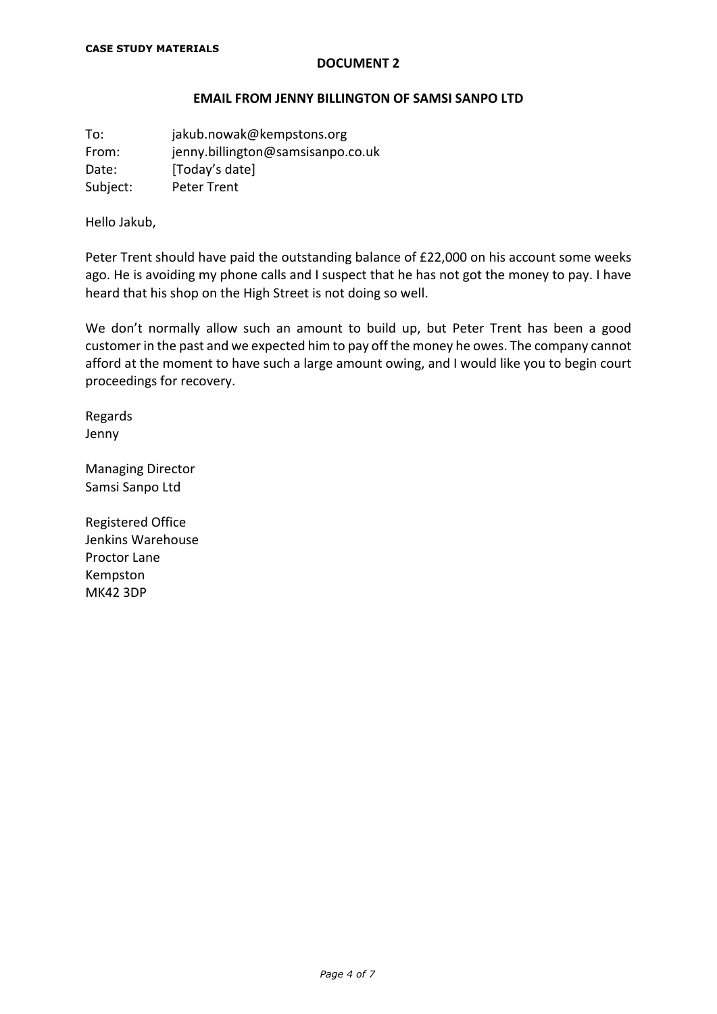#### **EMAIL FROM JENNY BILLINGTON OF SAMSI SANPO LTD**

To: jakub.nowak@kempstons.org From: jenny.billington@samsisanpo.co.uk Date: [Today's date] Subject: Peter Trent

Hello Jakub,

Peter Trent should have paid the outstanding balance of £22,000 on his account some weeks ago. He is avoiding my phone calls and I suspect that he has not got the money to pay. I have heard that his shop on the High Street is not doing so well.

We don't normally allow such an amount to build up, but Peter Trent has been a good customer in the past and we expected him to pay off the money he owes. The company cannot afford at the moment to have such a large amount owing, and I would like you to begin court proceedings for recovery.

Regards Jenny

Managing Director Samsi Sanpo Ltd

Registered Office Jenkins Warehouse Proctor Lane Kempston MK42 3DP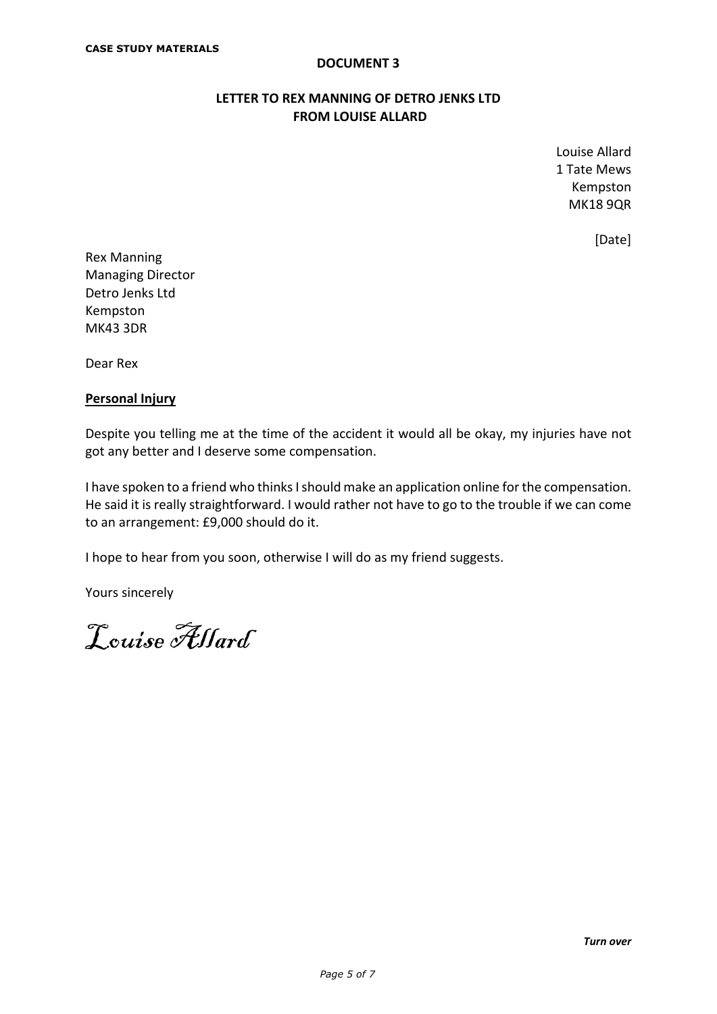## **LETTER TO REX MANNING OF DETRO JENKS LTD FROM LOUISE ALLARD**

Louise Allard 1 Tate Mews Kempston MK18 9QR

[Date]

Rex Manning Managing Director Detro Jenks Ltd Kempston MK43 3DR

Dear Rex

## **Personal Injury**

Despite you telling me at the time of the accident it would all be okay, my injuries have not got any better and I deserve some compensation.

I have spoken to a friend who thinks I should make an application online for the compensation. He said it is really straightforward. I would rather not have to go to the trouble if we can come to an arrangement: £9,000 should do it.

I hope to hear from you soon, otherwise I will do as my friend suggests.

Yours sincerely

Louise Allard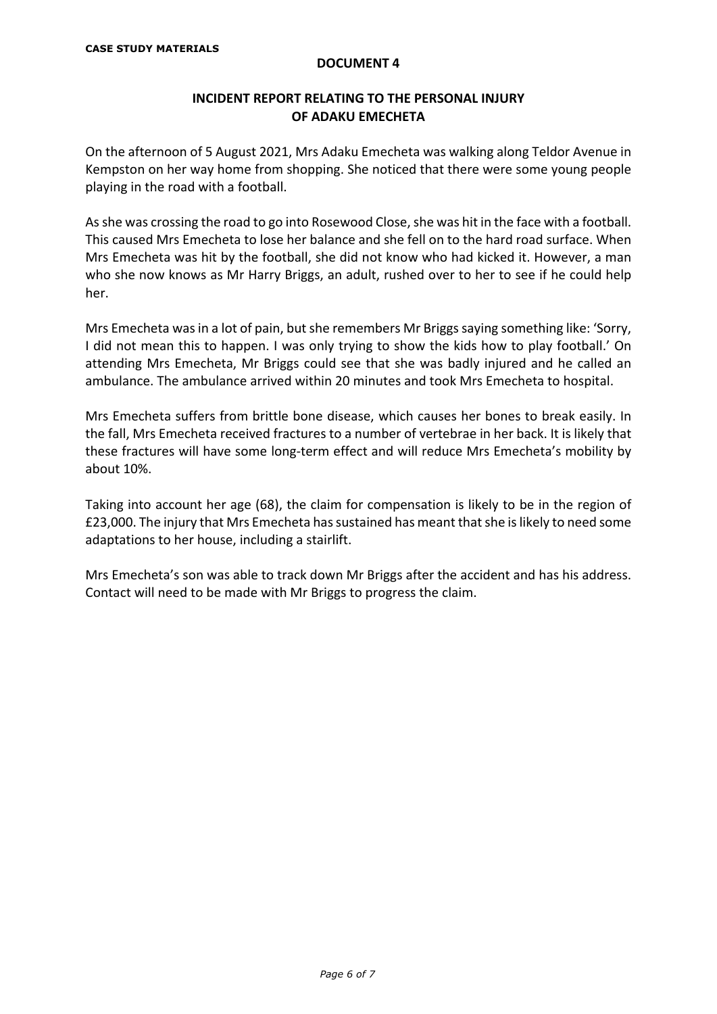## **INCIDENT REPORT RELATING TO THE PERSONAL INJURY OF ADAKU EMECHETA**

On the afternoon of 5 August 2021, Mrs Adaku Emecheta was walking along Teldor Avenue in Kempston on her way home from shopping. She noticed that there were some young people playing in the road with a football.

As she was crossing the road to go into Rosewood Close, she was hit in the face with a football. This caused Mrs Emecheta to lose her balance and she fell on to the hard road surface. When Mrs Emecheta was hit by the football, she did not know who had kicked it. However, a man who she now knows as Mr Harry Briggs, an adult, rushed over to her to see if he could help her.

Mrs Emecheta was in a lot of pain, but she remembers Mr Briggs saying something like: 'Sorry, I did not mean this to happen. I was only trying to show the kids how to play football.' On attending Mrs Emecheta, Mr Briggs could see that she was badly injured and he called an ambulance. The ambulance arrived within 20 minutes and took Mrs Emecheta to hospital.

Mrs Emecheta suffers from brittle bone disease, which causes her bones to break easily. In the fall, Mrs Emecheta received fractures to a number of vertebrae in her back. It is likely that these fractures will have some long-term effect and will reduce Mrs Emecheta's mobility by about 10%.

Taking into account her age (68), the claim for compensation is likely to be in the region of £23,000. The injury that Mrs Emecheta has sustained has meant that she is likely to need some adaptations to her house, including a stairlift.

Mrs Emecheta's son was able to track down Mr Briggs after the accident and has his address. Contact will need to be made with Mr Briggs to progress the claim.